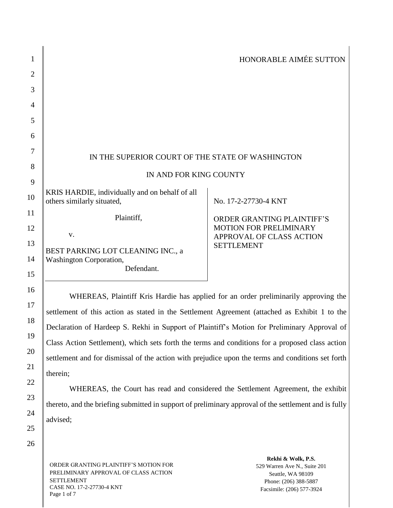| 1              |                                                                                                   | HONORABLE AIMÉE SUTTON                                    |
|----------------|---------------------------------------------------------------------------------------------------|-----------------------------------------------------------|
| $\overline{2}$ |                                                                                                   |                                                           |
| 3              |                                                                                                   |                                                           |
| 4              |                                                                                                   |                                                           |
| 5              |                                                                                                   |                                                           |
| 6              |                                                                                                   |                                                           |
| 7              | IN THE SUPERIOR COURT OF THE STATE OF WASHINGTON                                                  |                                                           |
| 8              | IN AND FOR KING COUNTY                                                                            |                                                           |
| 9              |                                                                                                   |                                                           |
| 10             | KRIS HARDIE, individually and on behalf of all<br>others similarly situated,                      | No. 17-2-27730-4 KNT                                      |
| 11             | Plaintiff,                                                                                        | ORDER GRANTING PLAINTIFF'S                                |
| 12             | V.                                                                                                | <b>MOTION FOR PRELIMINARY</b><br>APPROVAL OF CLASS ACTION |
| 13             | BEST PARKING LOT CLEANING INC., a                                                                 | <b>SETTLEMENT</b>                                         |
| 14             | Washington Corporation,                                                                           |                                                           |
| 15             | Defendant.                                                                                        |                                                           |
| 16             | WHEREAS, Plaintiff Kris Hardie has applied for an order preliminarily approving the               |                                                           |
| 17             | settlement of this action as stated in the Settlement Agreement (attached as Exhibit 1 to the     |                                                           |
| 18             |                                                                                                   |                                                           |
| 19             | Declaration of Hardeep S. Rekhi in Support of Plaintiff's Motion for Preliminary Approval of      |                                                           |
| 20             | Class Action Settlement), which sets forth the terms and conditions for a proposed class action   |                                                           |
| 21             | settlement and for dismissal of the action with prejudice upon the terms and conditions set forth |                                                           |
|                | therein;                                                                                          |                                                           |
| 22             |                                                                                                   |                                                           |

WHEREAS, the Court has read and considered the Settlement Agreement, the exhibit thereto, and the briefing submitted in support of preliminary approval of the settlement and is fully advised;

26

23

24

25

ORDER GRANTING PLAINTIFF'S MOTION FOR PRELIMINARY APPROVAL OF CLASS ACTION SETTLEMENT CASE NO. 17-2-27730-4 KNT Page 1 of 7

**Rekhi & Wolk, P.S.** 529 Warren Ave N., Suite 201 Seattle, WA 98109 Phone: (206) 388-5887 Facsimile: (206) 577-3924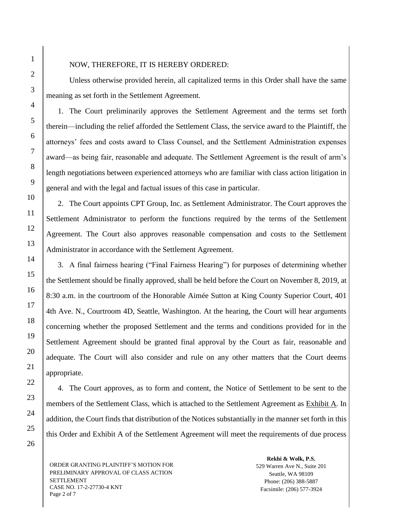## NOW, THEREFORE, IT IS HEREBY ORDERED:

Unless otherwise provided herein, all capitalized terms in this Order shall have the same meaning as set forth in the Settlement Agreement.

1. The Court preliminarily approves the Settlement Agreement and the terms set forth therein—including the relief afforded the Settlement Class, the service award to the Plaintiff, the attorneys' fees and costs award to Class Counsel, and the Settlement Administration expenses award—as being fair, reasonable and adequate. The Settlement Agreement is the result of arm's length negotiations between experienced attorneys who are familiar with class action litigation in general and with the legal and factual issues of this case in particular.

2. The Court appoints CPT Group, Inc. as Settlement Administrator. The Court approves the Settlement Administrator to perform the functions required by the terms of the Settlement Agreement. The Court also approves reasonable compensation and costs to the Settlement Administrator in accordance with the Settlement Agreement.

3. A final fairness hearing ("Final Fairness Hearing") for purposes of determining whether the Settlement should be finally approved, shall be held before the Court on November 8, 2019, at 8:30 a.m. in the courtroom of the Honorable Aimée Sutton at King County Superior Court, 401 4th Ave. N., Courtroom 4D, Seattle, Washington. At the hearing, the Court will hear arguments concerning whether the proposed Settlement and the terms and conditions provided for in the Settlement Agreement should be granted final approval by the Court as fair, reasonable and adequate. The Court will also consider and rule on any other matters that the Court deems appropriate.

4. The Court approves, as to form and content, the Notice of Settlement to be sent to the members of the Settlement Class, which is attached to the Settlement Agreement as Exhibit A. In addition, the Court finds that distribution of the Notices substantially in the manner set forth in this this Order and Exhibit A of the Settlement Agreement will meet the requirements of due process

ORDER GRANTING PLAINTIFF'S MOTION FOR PRELIMINARY APPROVAL OF CLASS ACTION SETTLEMENT CASE NO. 17-2-27730-4 KNT Page 2 of 7

**Rekhi & Wolk, P.S.** 529 Warren Ave N., Suite 201 Seattle, WA 98109 Phone: (206) 388-5887 Facsimile: (206) 577-3924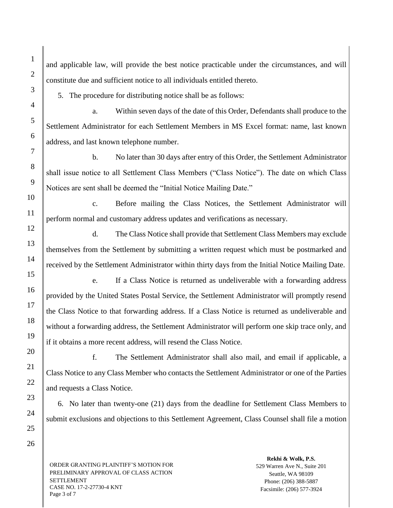and applicable law, will provide the best notice practicable under the circumstances, and will constitute due and sufficient notice to all individuals entitled thereto.

5. The procedure for distributing notice shall be as follows:

a. Within seven days of the date of this Order, Defendants shall produce to the Settlement Administrator for each Settlement Members in MS Excel format: name, last known address, and last known telephone number.

b. No later than 30 days after entry of this Order, the Settlement Administrator shall issue notice to all Settlement Class Members ("Class Notice"). The date on which Class Notices are sent shall be deemed the "Initial Notice Mailing Date."

c. Before mailing the Class Notices, the Settlement Administrator will perform normal and customary address updates and verifications as necessary.

d. The Class Notice shall provide that Settlement Class Members may exclude themselves from the Settlement by submitting a written request which must be postmarked and received by the Settlement Administrator within thirty days from the Initial Notice Mailing Date.

e. If a Class Notice is returned as undeliverable with a forwarding address provided by the United States Postal Service, the Settlement Administrator will promptly resend the Class Notice to that forwarding address. If a Class Notice is returned as undeliverable and without a forwarding address, the Settlement Administrator will perform one skip trace only, and if it obtains a more recent address, will resend the Class Notice.

f. The Settlement Administrator shall also mail, and email if applicable, a Class Notice to any Class Member who contacts the Settlement Administrator or one of the Parties and requests a Class Notice.

6. No later than twenty-one (21) days from the deadline for Settlement Class Members to submit exclusions and objections to this Settlement Agreement, Class Counsel shall file a motion

ORDER GRANTING PLAINTIFF'S MOTION FOR PRELIMINARY APPROVAL OF CLASS ACTION SETTLEMENT CASE NO. 17-2-27730-4 KNT Page 3 of 7

**Rekhi & Wolk, P.S.** 529 Warren Ave N., Suite 201 Seattle, WA 98109 Phone: (206) 388-5887 Facsimile: (206) 577-3924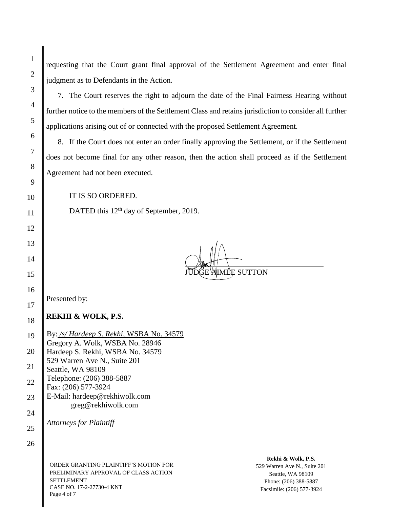requesting that the Court grant final approval of the Settlement Agreement and enter final judgment as to Defendants in the Action.

7. The Court reserves the right to adjourn the date of the Final Fairness Hearing without further notice to the members of the Settlement Class and retains jurisdiction to consider all further applications arising out of or connected with the proposed Settlement Agreement.

8. If the Court does not enter an order finally approving the Settlement, or if the Settlement does not become final for any other reason, then the action shall proceed as if the Settlement Agreement had not been executed.

IT IS SO ORDERED.

DATED this 12<sup>th</sup> day of September, 2019.

( 1ÊE SUTTON

Presented by:

**REKHI & WOLK, P.S.**

19 By: */s/ Hardeep S. Rekhi*, WSBA No. 34579 Gregory A. Wolk, WSBA No. 28946 Hardeep S. Rekhi, WSBA No. 34579 529 Warren Ave N., Suite 201 Seattle, WA 98109 Telephone: (206) 388-5887 Fax: (206) 577-3924 E-Mail: hardeep@rekhiwolk.com greg@rekhiwolk.com

*Attorneys for Plaintiff*

26

1

2

3

4

5

6

7

8

9

10

11

12

13

14

15

16

17

18

ORDER GRANTING PLAINTIFF'S MOTION FOR PRELIMINARY APPROVAL OF CLASS ACTION SETTLEMENT CASE NO. 17-2-27730-4 KNT Page 4 of 7

**Rekhi & Wolk, P.S.** 529 Warren Ave N., Suite 201 Seattle, WA 98109 Phone: (206) 388-5887 Facsimile: (206) 577-3924